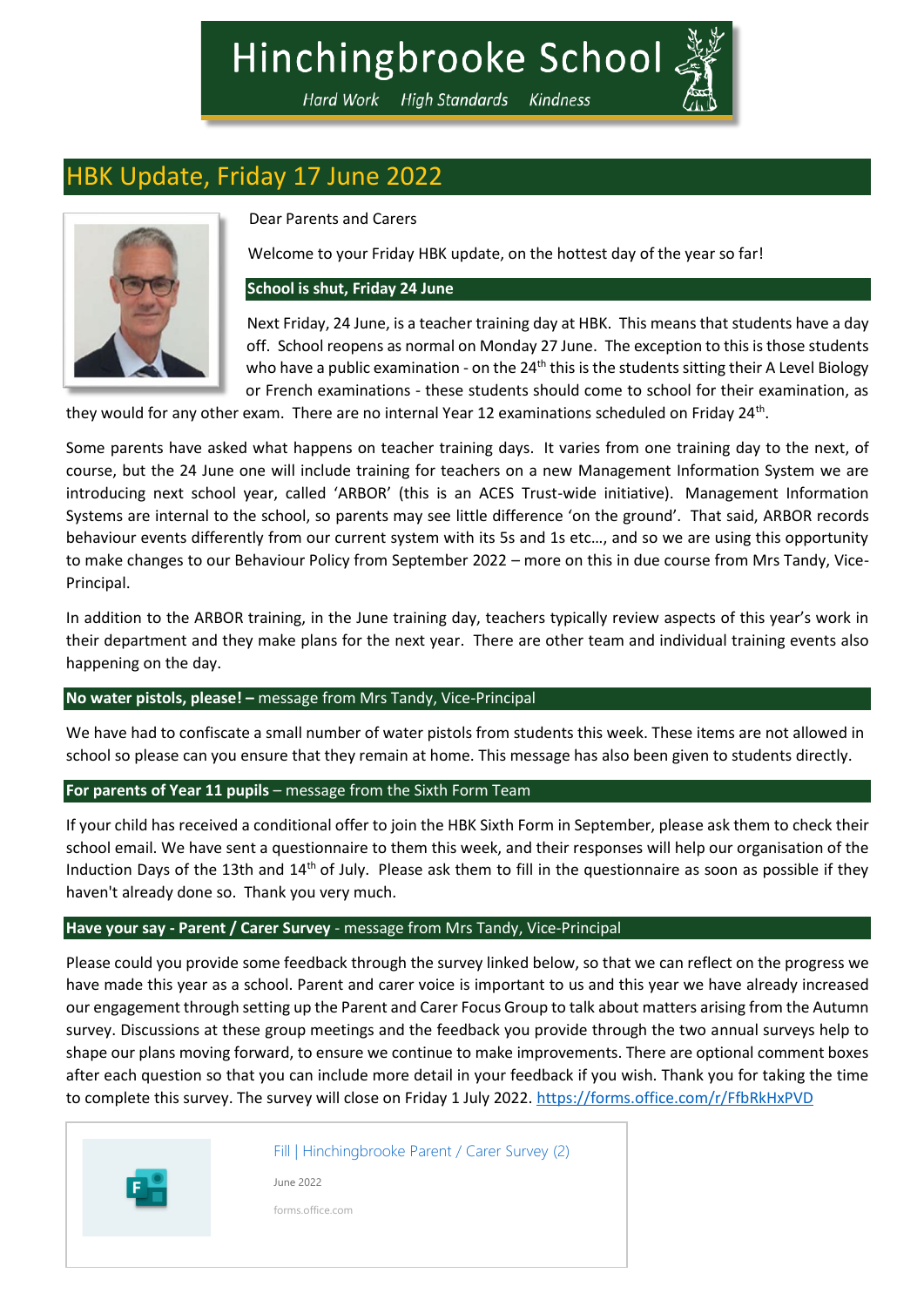# Hinchingbrooke School

Hard Work High Standards Kindness

# HBK Update, Friday 17 June 2022



Dear Parents and Carers

Welcome to your Friday HBK update, on the hottest day of the year so far!

# **School is shut, Friday 24 June**

Next Friday, 24 June, is a teacher training day at HBK. This means that students have a day off. School reopens as normal on Monday 27 June. The exception to this is those students who have a public examination - on the  $24<sup>th</sup>$  this is the students sitting their A Level Biology or French examinations - these students should come to school for their examination, as

they would for any other exam. There are no internal Year 12 examinations scheduled on Friday 24<sup>th</sup>.

Some parents have asked what happens on teacher training days. It varies from one training day to the next, of course, but the 24 June one will include training for teachers on a new Management Information System we are introducing next school year, called 'ARBOR' (this is an ACES Trust-wide initiative). Management Information Systems are internal to the school, so parents may see little difference 'on the ground'. That said, ARBOR records behaviour events differently from our current system with its 5s and 1s etc…, and so we are using this opportunity to make changes to our Behaviour Policy from September 2022 – more on this in due course from Mrs Tandy, Vice-Principal.

In addition to the ARBOR training, in the June training day, teachers typically review aspects of this year's work in their department and they make plans for the next year. There are other team and individual training events also happening on the day.

# **No water pistols, please! –** message from Mrs Tandy, Vice-Principal

We have had to confiscate a small number of water pistols from students this week. These items are not allowed in school so please can you ensure that they remain at home. This message has also been given to students directly.

# **For parents of Year 11 pupils** – message from the Sixth Form Team

If your child has received a conditional offer to join the HBK Sixth Form in September, please ask them to check their school email. We have sent a questionnaire to them this week, and their responses will help our organisation of the Induction Days of the 13th and  $14<sup>th</sup>$  of July. Please ask them to fill in the questionnaire as soon as possible if they haven't already done so. Thank you very much.

# **Have your say - Parent / Carer Survey** - message from Mrs Tandy, Vice-Principal

Please could you provide some feedback through the survey linked below, so that we can reflect on the progress we have made this year as a school. Parent and carer voice is important to us and this year we have already increased our engagement through setting up the Parent and Carer Focus Group to talk about matters arising from the Autumn survey. Discussions at these group meetings and the feedback you provide through the two annual surveys help to shape our plans moving forward, to ensure we continue to make improvements. There are optional comment boxes after each question so that you can include more detail in your feedback if you wish. Thank you for taking the time to complete this survey. The survey will close on Friday 1 July 2022. <https://forms.office.com/r/FfbRkHxPVD>



[Fill | Hinchingbrooke Parent / Carer Survey \(2\)](https://forms.office.com/r/FfbRkHxPVD)

June 2022

forms.office.com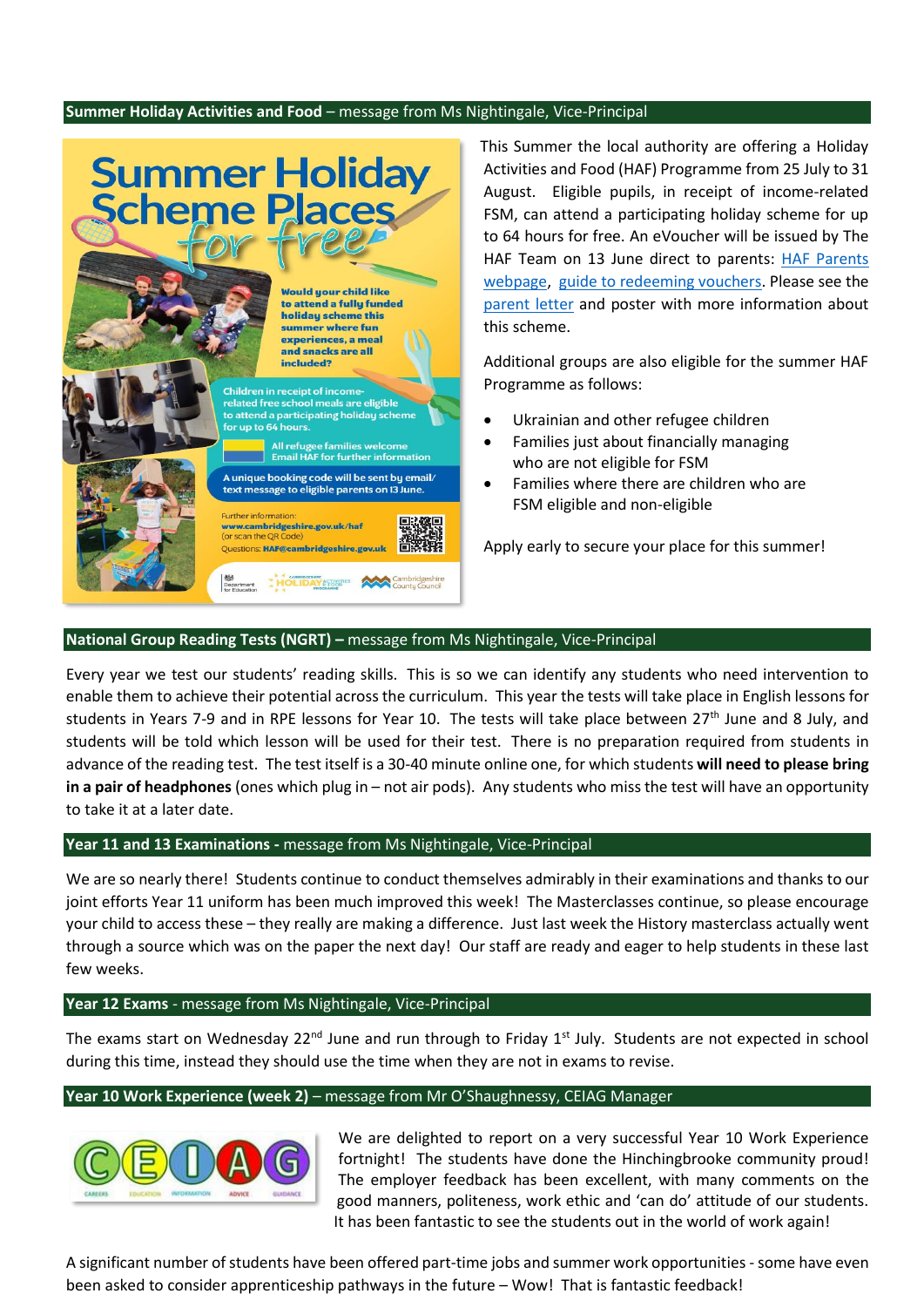## **Summer Holiday Activities and Food** – message from Ms Nightingale, Vice-Principal



This Summer the local authority are offering a Holiday Activities and Food (HAF) Programme from 25 July to 31 August. Eligible pupils, in receipt of income-related FSM, can attend a participating holiday scheme for up to 64 hours for free. An eVoucher will be issued by The HAF Team on 13 June direct to parents: [HAF Parents](https://www.cambridgeshire.gov.uk/news/holiday-activities-and-food-programme)  [webpage,](https://www.cambridgeshire.gov.uk/news/holiday-activities-and-food-programme) [guide to redeeming vouchers.](https://help.evouchers.com/hc/en-gb/articles/4529534704529-How-to-claim-your-HAF-voucher) Please see the [parent letter](https://www.hinchingbrookeschool.net/_site/data/files/debbie%20warner/parentmail/210F3A4B0CA826EF073F60008EAF9B5E.pdf) and poster with more information about this scheme.

Additional groups are also eligible for the summer HAF Programme as follows:

- Ukrainian and other refugee children
- Families just about financially managing who are not eligible for FSM
- Families where there are children who are FSM eligible and non-eligible

Apply early to secure your place for this summer!

# **National Group Reading Tests (NGRT) –** message from Ms Nightingale, Vice-Principal

Every year we test our students' reading skills. This is so we can identify any students who need intervention to enable them to achieve their potential across the curriculum. This year the tests will take place in English lessons for students in Years 7-9 and in RPE lessons for Year 10. The tests will take place between 27<sup>th</sup> June and 8 July, and students will be told which lesson will be used for their test. There is no preparation required from students in advance of the reading test. The test itself is a 30-40 minute online one, for which students **will need to please bring in a pair of headphones** (ones which plug in – not air pods). Any students who miss the test will have an opportunity to take it at a later date.

#### **Year 11 and 13 Examinations -** message from Ms Nightingale, Vice-Principal

We are so nearly there! Students continue to conduct themselves admirably in their examinations and thanks to our joint efforts Year 11 uniform has been much improved this week! The Masterclasses continue, so please encourage your child to access these – they really are making a difference. Just last week the History masterclass actually went through a source which was on the paper the next day! Our staff are ready and eager to help students in these last few weeks.

#### **Year 12 Exams** - message from Ms Nightingale, Vice-Principal

The exams start on Wednesday 22<sup>nd</sup> June and run through to Friday 1<sup>st</sup> July. Students are not expected in school during this time, instead they should use the time when they are not in exams to revise.

#### **Year 10 Work Experience (week 2)** – message from Mr O'Shaughnessy, CEIAG Manager



We are delighted to report on a very successful Year 10 Work Experience fortnight! The students have done the Hinchingbrooke community proud! The employer feedback has been excellent, with many comments on the good manners, politeness, work ethic and 'can do' attitude of our students. It has been fantastic to see the students out in the world of work again!

A significant number of students have been offered part-time jobs and summer work opportunities -some have even been asked to consider apprenticeship pathways in the future – Wow! That is fantastic feedback!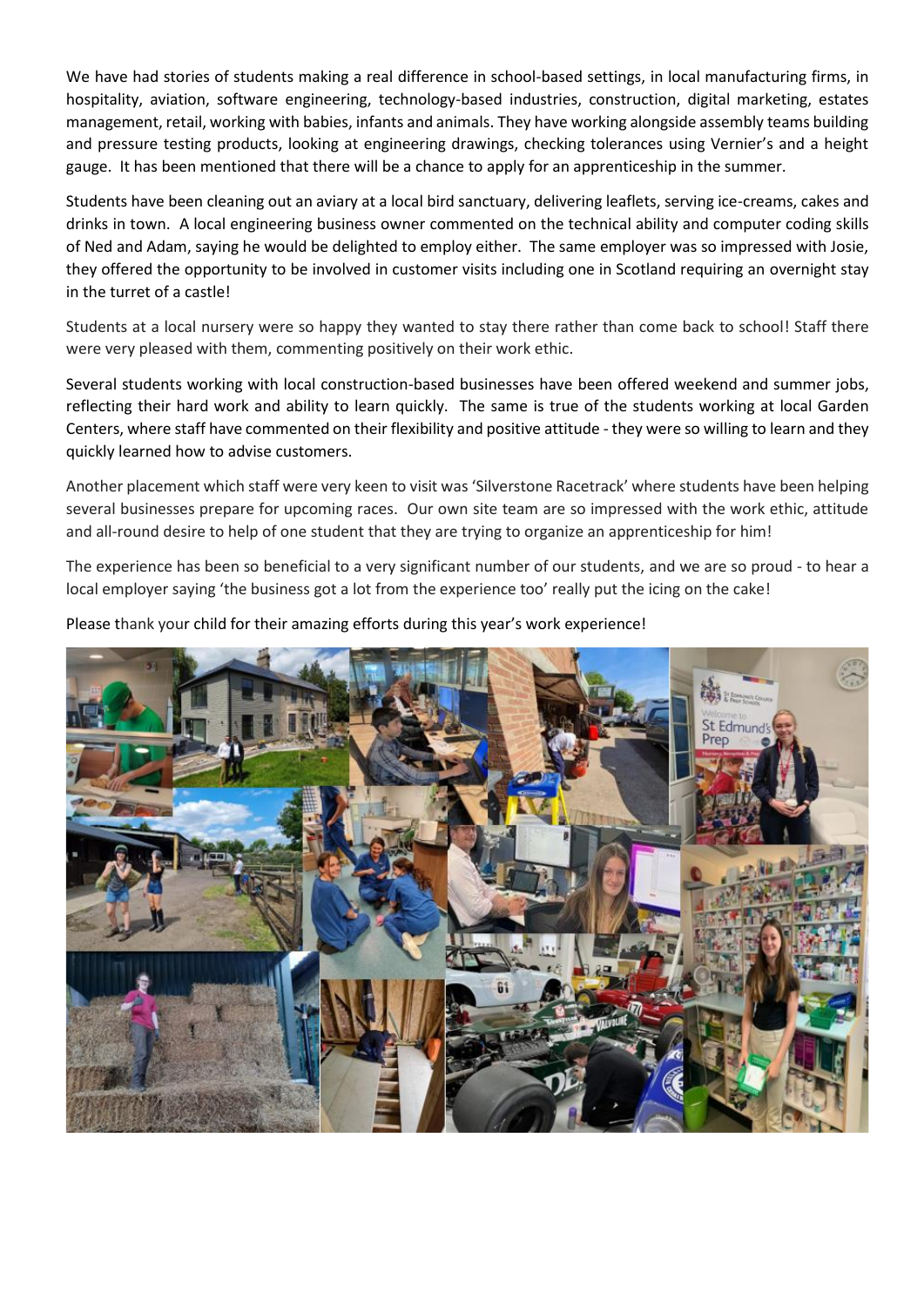We have had stories of students making a real difference in school-based settings, in local manufacturing firms, in hospitality, aviation, software engineering, technology-based industries, construction, digital marketing, estates management, retail, working with babies, infants and animals. They have working alongside assembly teams building and pressure testing products, looking at engineering drawings, checking tolerances using Vernier's and a height gauge. It has been mentioned that there will be a chance to apply for an apprenticeship in the summer.

Students have been cleaning out an aviary at a local bird sanctuary, delivering leaflets, serving ice-creams, cakes and drinks in town. A local engineering business owner commented on the technical ability and computer coding skills of Ned and Adam, saying he would be delighted to employ either. The same employer was so impressed with Josie, they offered the opportunity to be involved in customer visits including one in Scotland requiring an overnight stay in the turret of a castle!

Students at a local nursery were so happy they wanted to stay there rather than come back to school! Staff there were very pleased with them, commenting positively on their work ethic.

Several students working with local construction-based businesses have been offered weekend and summer jobs, reflecting their hard work and ability to learn quickly. The same is true of the students working at local Garden Centers, where staff have commented on their flexibility and positive attitude - they were so willing to learn and they quickly learned how to advise customers.

Another placement which staff were very keen to visit was 'Silverstone Racetrack' where students have been helping several businesses prepare for upcoming races. Our own site team are so impressed with the work ethic, attitude and all-round desire to help of one student that they are trying to organize an apprenticeship for him!

The experience has been so beneficial to a very significant number of our students, and we are so proud - to hear a local employer saying 'the business got a lot from the experience too' really put the icing on the cake!

Please thank your child for their amazing efforts during this year's work experience!